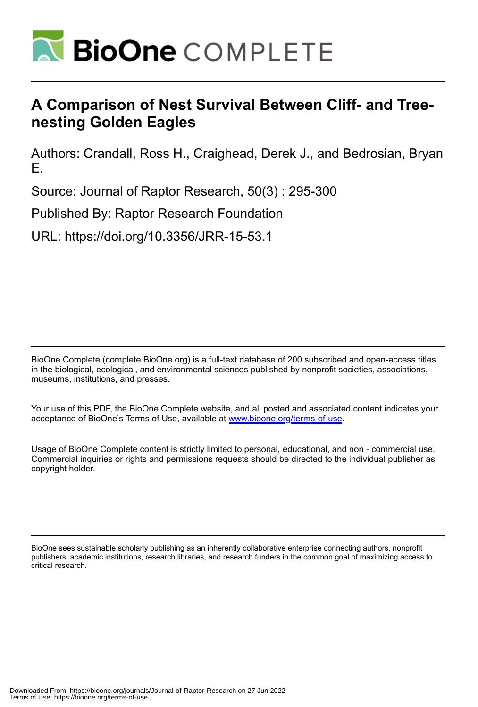

# **A Comparison of Nest Survival Between Cliff- and Treenesting Golden Eagles**

Authors: Crandall, Ross H., Craighead, Derek J., and Bedrosian, Bryan E.

Source: Journal of Raptor Research, 50(3) : 295-300

Published By: Raptor Research Foundation

URL: https://doi.org/10.3356/JRR-15-53.1

BioOne Complete (complete.BioOne.org) is a full-text database of 200 subscribed and open-access titles in the biological, ecological, and environmental sciences published by nonprofit societies, associations, museums, institutions, and presses.

Your use of this PDF, the BioOne Complete website, and all posted and associated content indicates your acceptance of BioOne's Terms of Use, available at www.bioone.org/terms-of-use.

Usage of BioOne Complete content is strictly limited to personal, educational, and non - commercial use. Commercial inquiries or rights and permissions requests should be directed to the individual publisher as copyright holder.

BioOne sees sustainable scholarly publishing as an inherently collaborative enterprise connecting authors, nonprofit publishers, academic institutions, research libraries, and research funders in the common goal of maximizing access to critical research.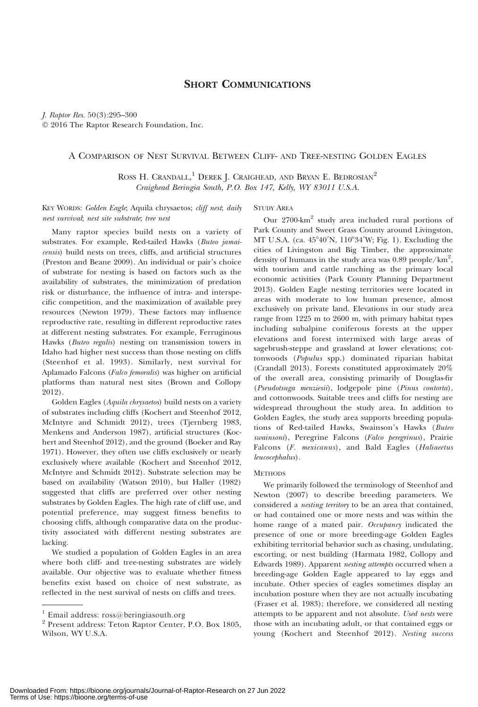# SHORT COMMUNICATIONS

J. Raptor Res. 50(3):295–300 - 2016 The Raptor Research Foundation, Inc.

## A COMPARISON OF NEST SURVIVAL BETWEEN CLIFF- AND TREE-NESTING GOLDEN EAGLES

ROSS H. CRANDALL,<sup>1</sup> DEREK J. CRAIGHEAD, AND BRYAN E. BEDROSIAN<sup>2</sup> Craighead Beringia South, P.O. Box 147, Kelly, WY 83011 U.S.A.

KEY WORDS: Golden Eagle; Aquila chrysaetos; cliff nest; daily nest survival; nest site substrate; tree nest

Many raptor species build nests on a variety of substrates. For example, Red-tailed Hawks (Buteo jamaicensis) build nests on trees, cliffs, and artificial structures (Preston and Beane 2009). An individual or pair's choice of substrate for nesting is based on factors such as the availability of substrates, the minimization of predation risk or disturbance, the influence of intra- and interspecific competition, and the maximization of available prey resources (Newton 1979). These factors may influence reproductive rate, resulting in different reproductive rates at different nesting substrates. For example, Ferruginous Hawks (Buteo regalis) nesting on transmission towers in Idaho had higher nest success than those nesting on cliffs (Steenhof et al. 1993). Similarly, nest survival for Aplamado Falcons (Falco femoralis) was higher on artificial platforms than natural nest sites (Brown and Collopy 2012).

Golden Eagles (Aquila chrysaetos) build nests on a variety of substrates including cliffs (Kochert and Steenhof 2012, McIntyre and Schmidt 2012), trees (Tjernberg 1983, Menkens and Anderson 1987), artificial structures (Kochert and Steenhof 2012), and the ground (Boeker and Ray 1971). However, they often use cliffs exclusively or nearly exclusively where available (Kochert and Steenhof 2012, McIntyre and Schmidt 2012). Substrate selection may be based on availability (Watson 2010), but Haller (1982) suggested that cliffs are preferred over other nesting substrates by Golden Eagles. The high rate of cliff use, and potential preference, may suggest fitness benefits to choosing cliffs, although comparative data on the productivity associated with different nesting substrates are lacking.

We studied a population of Golden Eagles in an area where both cliff- and tree-nesting substrates are widely available. Our objective was to evaluate whether fitness benefits exist based on choice of nest substrate, as reflected in the nest survival of nests on cliffs and trees.

#### STUDY AREA

Our 2700-km2 study area included rural portions of Park County and Sweet Grass County around Livingston, MT U.S.A. (ca. 45°40′N, 110°34′W; Fig. 1). Excluding the cities of Livingston and Big Timber, the approximate density of humans in the study area was  $0.89$  people/km<sup>2</sup>, with tourism and cattle ranching as the primary local economic activities (Park County Planning Department 2013). Golden Eagle nesting territories were located in areas with moderate to low human presence, almost exclusively on private land. Elevations in our study area range from 1225 m to 2600 m, with primary habitat types including subalpine coniferous forests at the upper elevations and forest intermixed with large areas of sagebrush-steppe and grassland at lower elevations; cottonwoods (Populus spp.) dominated riparian habitat (Crandall 2013). Forests constituted approximately 20% of the overall area, consisting primarily of Douglas-fir (Pseudotsuga menziesii), lodgepole pine (Pinus contorta), and cottonwoods. Suitable trees and cliffs for nesting are widespread throughout the study area. In addition to Golden Eagles, the study area supports breeding populations of Red-tailed Hawks, Swainson's Hawks (Buteo swainsoni), Peregrine Falcons (Falco peregrinus), Prairie Falcons (F. mexicanus), and Bald Eagles (Haliaeetus leucocephalus).

#### **METHODS**

We primarily followed the terminology of Steenhof and Newton (2007) to describe breeding parameters. We considered a nesting territory to be an area that contained, or had contained one or more nests and was within the home range of a mated pair. Occupancy indicated the presence of one or more breeding-age Golden Eagles exhibiting territorial behavior such as chasing, undulating, escorting, or nest building (Harmata 1982, Collopy and Edwards 1989). Apparent nesting attempts occurred when a breeding-age Golden Eagle appeared to lay eggs and incubate. Other species of eagles sometimes display an incubation posture when they are not actually incubating (Fraser et al. 1983); therefore, we considered all nesting attempts to be apparent and not absolute. Used nests were those with an incubating adult, or that contained eggs or young (Kochert and Steenhof 2012). Nesting success

<sup>&</sup>lt;sup>1</sup> Email address:  $\cos(\omega)$  beringiasouth.org

<sup>2</sup> Present address: Teton Raptor Center, P.O. Box 1805, Wilson, WY U.S.A.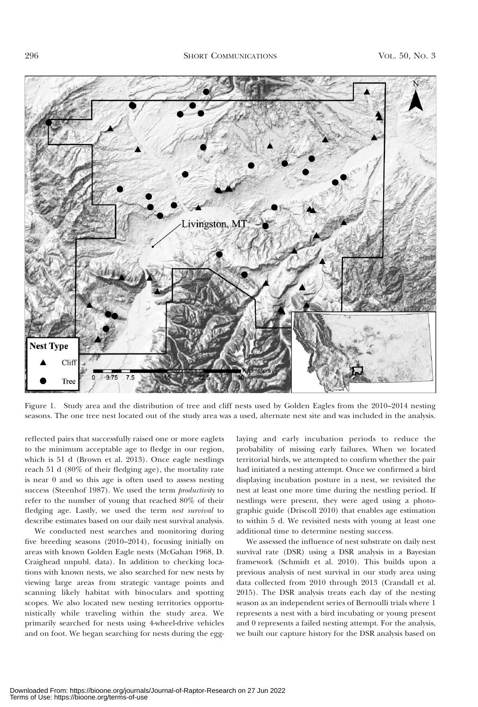

Figure 1. Study area and the distribution of tree and cliff nests used by Golden Eagles from the 2010–2014 nesting seasons. The one tree nest located out of the study area was a used, alternate nest site and was included in the analysis.

reflected pairs that successfully raised one or more eaglets to the minimum acceptable age to fledge in our region, which is 51 d (Brown et al. 2013). Once eagle nestlings reach 51 d (80% of their fledging age), the mortality rate is near 0 and so this age is often used to assess nesting success (Steenhof 1987). We used the term *productivity* to refer to the number of young that reached 80% of their fledging age. Lastly, we used the term nest survival to describe estimates based on our daily nest survival analysis.

We conducted nest searches and monitoring during five breeding seasons (2010–2014), focusing initially on areas with known Golden Eagle nests (McGahan 1968, D. Craighead unpubl. data). In addition to checking locations with known nests, we also searched for new nests by viewing large areas from strategic vantage points and scanning likely habitat with binoculars and spotting scopes. We also located new nesting territories opportunistically while traveling within the study area. We primarily searched for nests using 4-wheel-drive vehicles and on foot. We began searching for nests during the egglaying and early incubation periods to reduce the probability of missing early failures. When we located territorial birds, we attempted to confirm whether the pair had initiated a nesting attempt. Once we confirmed a bird displaying incubation posture in a nest, we revisited the nest at least one more time during the nestling period. If nestlings were present, they were aged using a photographic guide (Driscoll 2010) that enables age estimation to within 5 d. We revisited nests with young at least one additional time to determine nesting success.

We assessed the influence of nest substrate on daily nest survival rate (DSR) using a DSR analysis in a Bayesian framework (Schmidt et al. 2010). This builds upon a previous analysis of nest survival in our study area using data collected from 2010 through 2013 (Crandall et al. 2015). The DSR analysis treats each day of the nesting season as an independent series of Bernoulli trials where 1 represents a nest with a bird incubating or young present and 0 represents a failed nesting attempt. For the analysis, we built our capture history for the DSR analysis based on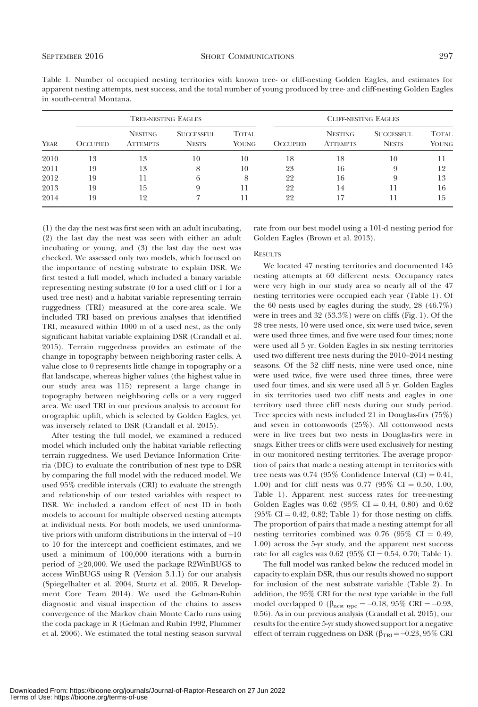|                           |  |  |  | Table 1. Number of occupied nesting territories with known tree- or cliff-nesting Golden Eagles, and estimates for       |  |  |  |
|---------------------------|--|--|--|--------------------------------------------------------------------------------------------------------------------------|--|--|--|
|                           |  |  |  | apparent nesting attempts, nest success, and the total number of young produced by tree- and cliff-nesting Golden Eagles |  |  |  |
| in south-central Montana. |  |  |  |                                                                                                                          |  |  |  |

|      |                 | <b>TREE-NESTING EAGLES</b>        |                                   | <b>CLIFF-NESTING EAGLES</b> |                 |                                   |                                   |                              |  |
|------|-----------------|-----------------------------------|-----------------------------------|-----------------------------|-----------------|-----------------------------------|-----------------------------------|------------------------------|--|
| YEAR | <b>OCCUPIED</b> | <b>NESTING</b><br><b>ATTEMPTS</b> | <b>SUCCESSFUL</b><br><b>NESTS</b> | <b>TOTAL</b><br>YOUNG       | <b>OCCUPIED</b> | <b>NESTING</b><br><b>ATTEMPTS</b> | <b>SUCCESSFUL</b><br><b>NESTS</b> | <b>TOTAL</b><br><b>YOUNG</b> |  |
| 2010 | 13              | 13                                | 10                                | 10                          | 18              | 18                                | 10                                | 11                           |  |
| 2011 | 19              | 13                                | 8                                 | 10                          | 23              | 16                                | 9                                 | 12                           |  |
| 2012 | 19              | 11                                | 6                                 | 8                           | 22              | 16                                | 9                                 | 13                           |  |
| 2013 | 19              | 15                                | 9                                 | 11                          | 22              | 14                                | 11                                | 16                           |  |
| 2014 | 19              | 12                                | ↣                                 | 11                          | 22              | 17                                | 11                                | 15                           |  |

(1) the day the nest was first seen with an adult incubating, (2) the last day the nest was seen with either an adult incubating or young, and (3) the last day the nest was checked. We assessed only two models, which focused on the importance of nesting substrate to explain DSR. We first tested a full model, which included a binary variable representing nesting substrate (0 for a used cliff or 1 for a used tree nest) and a habitat variable representing terrain ruggedness (TRI) measured at the core-area scale. We included TRI based on previous analyses that identified TRI, measured within 1000 m of a used nest, as the only significant habitat variable explaining DSR (Crandall et al. 2015). Terrain ruggedness provides an estimate of the change in topography between neighboring raster cells. A value close to 0 represents little change in topography or a flat landscape, whereas higher values (the highest value in our study area was 115) represent a large change in topography between neighboring cells or a very rugged area. We used TRI in our previous analysis to account for orographic uplift, which is selected by Golden Eagles, yet was inversely related to DSR (Crandall et al. 2015).

After testing the full model, we examined a reduced model which included only the habitat variable reflecting terrain ruggedness. We used Deviance Information Criteria (DIC) to evaluate the contribution of nest type to DSR by comparing the full model with the reduced model. We used 95% credible intervals (CRI) to evaluate the strength and relationship of our tested variables with respect to DSR. We included a random effect of nest ID in both models to account for multiple observed nesting attempts at individual nests. For both models, we used uninformative priors with uniform distributions in the interval of -10 to 10 for the intercept and coefficient estimates, and we used a minimum of 100,000 iterations with a burn-in period of  $\geq$ 20,000. We used the package R2WinBUGS to access WinBUGS using R (Version 3.1.1) for our analysis (Spiegelhalter et al. 2004, Sturtz et al. 2005, R Development Core Team 2014). We used the Gelman-Rubin diagnostic and visual inspection of the chains to assess convergence of the Markov chain Monte Carlo runs using the coda package in R (Gelman and Rubin 1992, Plummer et al. 2006). We estimated the total nesting season survival rate from our best model using a 101-d nesting period for Golden Eagles (Brown et al. 2013).

#### **RESULTS**

We located 47 nesting territories and documented 145 nesting attempts at 60 different nests. Occupancy rates were very high in our study area so nearly all of the 47 nesting territories were occupied each year (Table 1). Of the 60 nests used by eagles during the study, 28 (46.7%) were in trees and 32 (53.3%) were on cliffs (Fig. 1). Of the 28 tree nests, 10 were used once, six were used twice, seven were used three times, and five were used four times; none were used all 5 yr. Golden Eagles in six nesting territories used two different tree nests during the 2010–2014 nesting seasons. Of the 32 cliff nests, nine were used once, nine were used twice, five were used three times, three were used four times, and six were used all 5 yr. Golden Eagles in six territories used two cliff nests and eagles in one territory used three cliff nests during our study period. Tree species with nests included 21 in Douglas-firs (75%) and seven in cottonwoods (25%). All cottonwood nests were in live trees but two nests in Douglas-firs were in snags. Either trees or cliffs were used exclusively for nesting in our monitored nesting territories. The average proportion of pairs that made a nesting attempt in territories with tree nests was 0.74 (95% Confidence Interval  $(Cl) = 0.41$ , 1.00) and for cliff nests was 0.77 (95% CI = 0.50, 1.00, Table 1). Apparent nest success rates for tree-nesting Golden Eagles was  $0.62$  (95% CI = 0.44, 0.80) and 0.62  $(95\% \text{ CI} = 0.42, 0.82; \text{Table 1})$  for those nesting on cliffs. The proportion of pairs that made a nesting attempt for all nesting territories combined was  $0.76$  (95% CI = 0.49, 1.00) across the 5-yr study, and the apparent nest success rate for all eagles was  $0.62$  (95% CI = 0.54, 0.70; Table 1).

The full model was ranked below the reduced model in capacity to explain DSR, thus our results showed no support for inclusion of the nest substrate variable (Table 2). In addition, the 95% CRI for the nest type variable in the full model overlapped 0 ( $\beta_{\text{nest type}} = -0.18$ , 95% CRI = -0.93, 0.56). As in our previous analysis (Crandall et al. 2015), our results for the entire 5-yr study showed support for a negative effect of terrain ruggedness on DSR ( $\beta_{\rm TRI}\!=\!-0.23,95\%$  CRI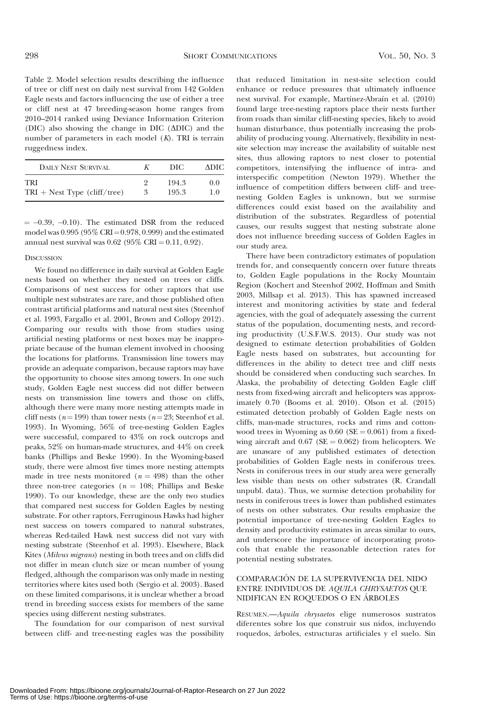Table 2. Model selection results describing the influence of tree or cliff nest on daily nest survival from 142 Golden Eagle nests and factors influencing the use of either a tree or cliff nest at 47 breeding-season home ranges from 2010–2014 ranked using Deviance Information Criterion (DIC) also showing the change in DIC  $(\Delta$ DIC) and the number of parameters in each model (K). TRI is terrain ruggedness index.

| <b>DAILY NEST SURVIVAL</b>     |   | DIC   | ADIC. |
|--------------------------------|---|-------|-------|
| TRI                            |   | 194.3 | 0.0   |
| $TRI + Nest$ Type (cliff/tree) | 3 | 195.3 | 10    |

 $= -0.39, -0.10$ . The estimated DSR from the reduced model was  $0.995$  (95% CRI =  $0.978$ , 0.999) and the estimated annual nest survival was  $0.62$  (95% CRI = 0.11, 0.92).

#### **DISCUSSION**

We found no difference in daily survival at Golden Eagle nests based on whether they nested on trees or cliffs. Comparisons of nest success for other raptors that use multiple nest substrates are rare, and those published often contrast artificial platforms and natural nest sites (Steenhof et al. 1993, Fargallo et al. 2001, Brown and Collopy 2012). Comparing our results with those from studies using artificial nesting platforms or nest boxes may be inappropriate because of the human element involved in choosing the locations for platforms. Transmission line towers may provide an adequate comparison, because raptors may have the opportunity to choose sites among towers. In one such study, Golden Eagle nest success did not differ between nests on transmission line towers and those on cliffs, although there were many more nesting attempts made in cliff nests ( $n=199$ ) than tower nests ( $n=23$ ; Steenhof et al. 1993). In Wyoming, 56% of tree-nesting Golden Eagles were successful, compared to 43% on rock outcrops and peaks, 52% on human-made structures, and 44% on creek banks (Phillips and Beske 1990). In the Wyoming-based study, there were almost five times more nesting attempts made in tree nests monitored ( $n = 498$ ) than the other three non-tree categories ( $n = 108$ ; Phillips and Beske 1990). To our knowledge, these are the only two studies that compared nest success for Golden Eagles by nesting substrate. For other raptors, Ferruginous Hawks had higher nest success on towers compared to natural substrates, whereas Red-tailed Hawk nest success did not vary with nesting substrate (Steenhof et al. 1993). Elsewhere, Black Kites (Milvus migrans) nesting in both trees and on cliffs did not differ in mean clutch size or mean number of young fledged, although the comparison was only made in nesting territories where kites used both (Sergio et al. 2003). Based on these limited comparisons, it is unclear whether a broad trend in breeding success exists for members of the same species using different nesting substrates.

The foundation for our comparison of nest survival between cliff- and tree-nesting eagles was the possibility that reduced limitation in nest-site selection could enhance or reduce pressures that ultimately influence nest survival. For example, Martínez-Abraín et al. (2010) found large tree-nesting raptors place their nests further from roads than similar cliff-nesting species, likely to avoid human disturbance, thus potentially increasing the probability of producing young. Alternatively, flexibility in nestsite selection may increase the availability of suitable nest sites, thus allowing raptors to nest closer to potential competitors, intensifying the influence of intra- and interspecific competition (Newton 1979). Whether the influence of competition differs between cliff- and treenesting Golden Eagles is unknown, but we surmise differences could exist based on the availability and distribution of the substrates. Regardless of potential causes, our results suggest that nesting substrate alone does not influence breeding success of Golden Eagles in our study area.

There have been contradictory estimates of population trends for, and consequently concern over future threats to, Golden Eagle populations in the Rocky Mountain Region (Kochert and Steenhof 2002, Hoffman and Smith 2003, Millsap et al. 2013). This has spawned increased interest and monitoring activities by state and federal agencies, with the goal of adequately assessing the current status of the population, documenting nests, and recording productivity (U.S.F.W.S. 2013). Our study was not designed to estimate detection probabilities of Golden Eagle nests based on substrates, but accounting for differences in the ability to detect tree and cliff nests should be considered when conducting such searches. In Alaska, the probability of detecting Golden Eagle cliff nests from fixed-wing aircraft and helicopters was approximately 0.70 (Booms et al. 2010). Olson et al. (2015) estimated detection probably of Golden Eagle nests on cliffs, man-made structures, rocks and rims and cottonwood trees in Wyoming as  $0.60$  (SE =  $0.061$ ) from a fixedwing aircraft and  $0.67$  (SE = 0.062) from helicopters. We are unaware of any published estimates of detection probabilities of Golden Eagle nests in coniferous trees. Nests in coniferous trees in our study area were generally less visible than nests on other substrates (R. Crandall unpubl. data). Thus, we surmise detection probability for nests in coniferous trees is lower than published estimates of nests on other substrates. Our results emphasize the potential importance of tree-nesting Golden Eagles to density and productivity estimates in areas similar to ours, and underscore the importance of incorporating protocols that enable the reasonable detection rates for potential nesting substrates.

# COMPARACIÓN DE LA SUPERVIVENCIA DEL NIDO ENTRE INDIVIDUOS DE AQUILA CHRYSAETOS QUE NIDIFICAN EN ROQUEDOS O EN ARBOLES ´

RESUMEN.—Aquila chrysaetos elige numerosos sustratos diferentes sobre los que construir sus nidos, incluyendo roquedos, árboles, estructuras artificiales y el suelo. Sin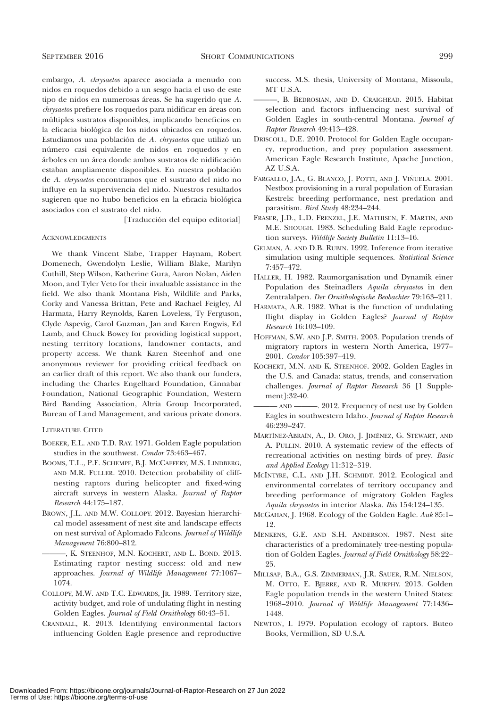embargo, A. chrysaetos aparece asociada a menudo con nidos en roquedos debido a un sesgo hacia el uso de este tipo de nidos en numerosas áreas. Se ha sugerido que A. chrysaetos prefiere los roquedos para nidificar en áreas con múltiples sustratos disponibles, implicando beneficios en la eficacia biológica de los nidos ubicados en roquedos. Estudiamos una población de A. chrysaetos que utilizó un número casi equivalente de nidos en roquedos y en árboles en un área donde ambos sustratos de nidificación estaban ampliamente disponibles. En nuestra población de A. chrysaetos encontramos que el sustrato del nido no influye en la supervivencia del nido. Nuestros resultados sugieren que no hubo beneficios en la eficacia biológica asociados con el sustrato del nido.

[Traducción del equipo editorial]

#### **ACKNOWLEDGMENTS**

We thank Vincent Slabe, Trapper Haynam, Robert Domenech, Gwendolyn Leslie, William Blake, Marilyn Cuthill, Step Wilson, Katherine Gura, Aaron Nolan, Aiden Moon, and Tyler Veto for their invaluable assistance in the field. We also thank Montana Fish, Wildlife and Parks, Corky and Vanessa Brittan, Pete and Rachael Feigley, Al Harmata, Harry Reynolds, Karen Loveless, Ty Ferguson, Clyde Aspevig, Carol Guzman, Jan and Karen Engwis, Ed Lamb, and Chuck Bowey for providing logistical support, nesting territory locations, landowner contacts, and property access. We thank Karen Steenhof and one anonymous reviewer for providing critical feedback on an earlier draft of this report. We also thank our funders, including the Charles Engelhard Foundation, Cinnabar Foundation, National Geographic Foundation, Western Bird Banding Association, Altria Group Incorporated, Bureau of Land Management, and various private donors.

### LITERATURE CITED

- BOEKER, E.L. AND T.D. RAY. 1971. Golden Eagle population studies in the southwest. Condor 73:463–467.
- BOOMS, T.L., P.F. SCHEMPF, B.J. MCCAFFERY, M.S. LINDBERG, AND M.R. FULLER. 2010. Detection probability of cliffnesting raptors during helicopter and fixed-wing aircraft surveys in western Alaska. Journal of Raptor Research 44:175–187.
- BROWN, J.L. AND M.W. COLLOPY. 2012. Bayesian hierarchical model assessment of nest site and landscape effects on nest survival of Aplomado Falcons. Journal of Wildlife Management 76:800–812.
	- ———, K. STEENHOF, M.N. KOCHERT, AND L. BOND. 2013. Estimating raptor nesting success: old and new approaches. Journal of Wildlife Management 77:1067– 1074.
- COLLOPY, M.W. AND T.C. EDWARDS, JR. 1989. Territory size, activity budget, and role of undulating flight in nesting Golden Eagles. Journal of Field Ornithology 60:43–51.
- CRANDALL, R. 2013. Identifying environmental factors influencing Golden Eagle presence and reproductive

success. M.S. thesis, University of Montana, Missoula, MT U.S.A.

- ———, B. BEDROSIAN, AND D. CRAIGHEAD. 2015. Habitat selection and factors influencing nest survival of Golden Eagles in south-central Montana. Journal of Raptor Research 49:413–428.
- DRISCOLL, D.E. 2010. Protocol for Golden Eagle occupancy, reproduction, and prey population assessment. American Eagle Research Institute, Apache Junction, AZ U.S.A.
- FARGALLO, J.A., G. BLANCO, J. POTTI, AND J. VIÑUELA. 2001. Nestbox provisioning in a rural population of Eurasian Kestrels: breeding performance, nest predation and parasitism. Bird Study 48:234–244.
- FRASER, J.D., L.D. FRENZEL, J.E. MATHISEN, F. MARTIN, AND M.E. SHOUGH. 1983. Scheduling Bald Eagle reproduction surveys. Wildlife Society Bulletin 11:13–16.
- GELMAN, A. AND D.B. RUBIN. 1992. Inference from iterative simulation using multiple sequences. Statistical Science 7:457–472.
- HALLER, H. 1982. Raumorganisation und Dynamik einer Population des Steinadlers Aquila chrysaetos in den Zentralalpen. Der Ornithologische Beobachter 79:163–211.
- HARMATA, A.R. 1982. What is the function of undulating flight display in Golden Eagles? Journal of Raptor Research 16:103–109.
- HOFFMAN, S.W. AND J.P. SMITH. 2003. Population trends of migratory raptors in western North America, 1977– 2001. Condor 105:397–419.
- KOCHERT, M.N. AND K. STEENHOF. 2002. Golden Eagles in the U.S. and Canada: status, trends, and conservation challenges. Journal of Raptor Research 36 [1 Supplement]:32-40.
- AND ———. 2012. Frequency of nest use by Golden Eagles in southwestern Idaho. Journal of Raptor Research 46:239–247.
- MARTÍNEZ-ABRAÍN, A., D. ORO, J. JIMÉNEZ, G. STEWART, AND A. PULLIN. 2010. A systematic review of the effects of recreational activities on nesting birds of prey. Basic and Applied Ecology 11:312–319.
- MCINTYRE, C.L. AND J.H. SCHMIDT. 2012. Ecological and environmental correlates of territory occupancy and breeding performance of migratory Golden Eagles Aquila chrysaetos in interior Alaska. Ibis 154:124–135.
- MCGAHAN, J. 1968. Ecology of the Golden Eagle. Auk 85:1– 12.
- MENKENS, G.E. AND S.H. ANDERSON. 1987. Nest site characteristics of a predominately tree-nesting population of Golden Eagles. Journal of Field Ornithology 58:22– 25.
- MILLSAP, B.A., G.S. ZIMMERMAN, J.R. SAUER, R.M. NIELSON, M. OTTO, E. BJERRE, AND R. MURPHY. 2013. Golden Eagle population trends in the western United States: 1968–2010. Journal of Wildlife Management 77:1436– 1448.
- NEWTON, I. 1979. Population ecology of raptors. Buteo Books, Vermillion, SD U.S.A.